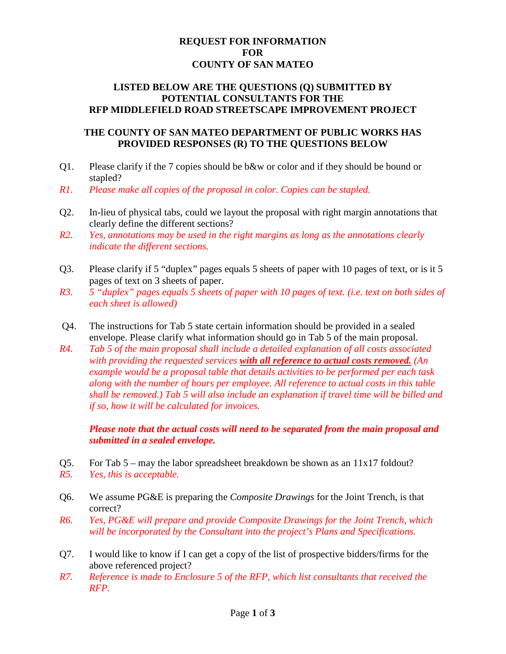## **REQUEST FOR INFORMATION FOR COUNTY OF SAN MATEO**

### **LISTED BELOW ARE THE QUESTIONS (Q) SUBMITTED BY POTENTIAL CONSULTANTS FOR THE RFP MIDDLEFIELD ROAD STREETSCAPE IMPROVEMENT PROJECT**

### **THE COUNTY OF SAN MATEO DEPARTMENT OF PUBLIC WORKS HAS PROVIDED RESPONSES (R) TO THE QUESTIONS BELOW**

- Q1. Please clarify if the 7 copies should be b&w or color and if they should be bound or stapled?
- *R1. Please make all copies of the proposal in color. Copies can be stapled.*
- Q2. In-lieu of physical tabs, could we layout the proposal with right margin annotations that clearly define the different sections?
- *R2. Yes, annotations may be used in the right margins as long as the annotations clearly indicate the different sections.*
- Q3. Please clarify if 5 "duplex" pages equals 5 sheets of paper with 10 pages of text, or is it 5 pages of text on 3 sheets of paper.
- *R3. 5 "duplex" pages equals 5 sheets of paper with 10 pages of text. (i.e. text on both sides of each sheet is allowed)*
- Q4. The instructions for Tab 5 state certain information should be provided in a sealed envelope. Please clarify what information should go in Tab 5 of the main proposal.
- *R4. Tab 5 of the main proposal shall include a detailed explanation of all costs associated with providing the requested services with all reference to actual costs removed. (An example would be a proposal table that details activities to be performed per each task along with the number of hours per employee. All reference to actual costs in this table shall be removed.) Tab 5 will also include an explanation if travel time will be billed and if so, how it will be calculated for invoices.*

*Please note that the actual costs will need to be separated from the main proposal and submitted in a sealed envelope.*

- Q5. For Tab 5 may the labor spreadsheet breakdown be shown as an 11x17 foldout?
- *R5. Yes, this is acceptable.*
- Q6. We assume PG&E is preparing the *Composite Drawings* for the Joint Trench, is that correct?
- *R6. Yes, PG&E will prepare and provide Composite Drawings for the Joint Trench, which will be incorporated by the Consultant into the project's Plans and Specifications.*
- Q7. I would like to know if I can get a copy of the list of prospective bidders/firms for the above referenced project?
- *R7. Reference is made to Enclosure 5 of the RFP, which list consultants that received the RFP.*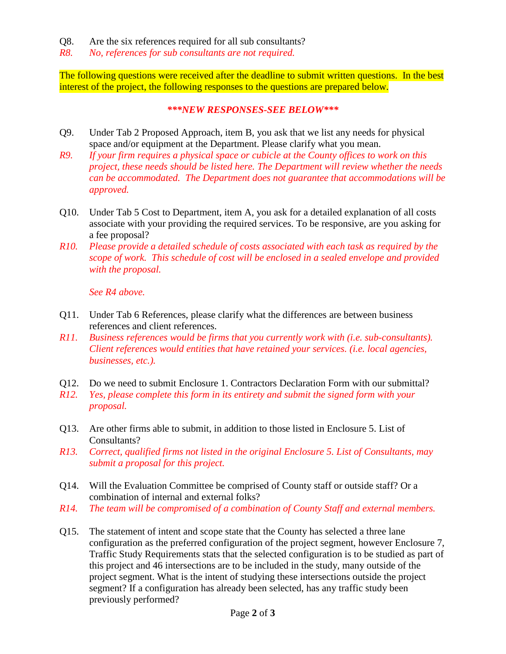- Q8. Are the six references required for all sub consultants?
- *R8. No, references for sub consultants are not required.*

The following questions were received after the deadline to submit written questions. In the best interest of the project, the following responses to the questions are prepared below.

#### *\*\*\*NEW RESPONSES-SEE BELOW\*\*\**

- Q9. Under Tab 2 Proposed Approach, item B, you ask that we list any needs for physical space and/or equipment at the Department. Please clarify what you mean.
- *R9. If your firm requires a physical space or cubicle at the County offices to work on this project, these needs should be listed here. The Department will review whether the needs can be accommodated. The Department does not guarantee that accommodations will be approved.*
- Q10. Under Tab 5 Cost to Department, item A, you ask for a detailed explanation of all costs associate with your providing the required services. To be responsive, are you asking for a fee proposal?
- *R10. Please provide a detailed schedule of costs associated with each task as required by the scope of work. This schedule of cost will be enclosed in a sealed envelope and provided with the proposal.*

*See R4 above.*

- Q11. Under Tab 6 References, please clarify what the differences are between business references and client references.
- *R11. Business references would be firms that you currently work with (i.e. sub-consultants). Client references would entities that have retained your services. (i.e. local agencies, businesses, etc.).*
- Q12. Do we need to submit Enclosure 1. Contractors Declaration Form with our submittal?
- *R12. Yes, please complete this form in its entirety and submit the signed form with your proposal.*
- Q13. Are other firms able to submit, in addition to those listed in Enclosure 5. List of Consultants?
- *R13. Correct, qualified firms not listed in the original Enclosure 5. List of Consultants, may submit a proposal for this project.*
- Q14. Will the Evaluation Committee be comprised of County staff or outside staff? Or a combination of internal and external folks?
- *R14. The team will be compromised of a combination of County Staff and external members.*
- Q15. The statement of intent and scope state that the County has selected a three lane configuration as the preferred configuration of the project segment, however Enclosure 7, Traffic Study Requirements stats that the selected configuration is to be studied as part of this project and 46 intersections are to be included in the study, many outside of the project segment. What is the intent of studying these intersections outside the project segment? If a configuration has already been selected, has any traffic study been previously performed?